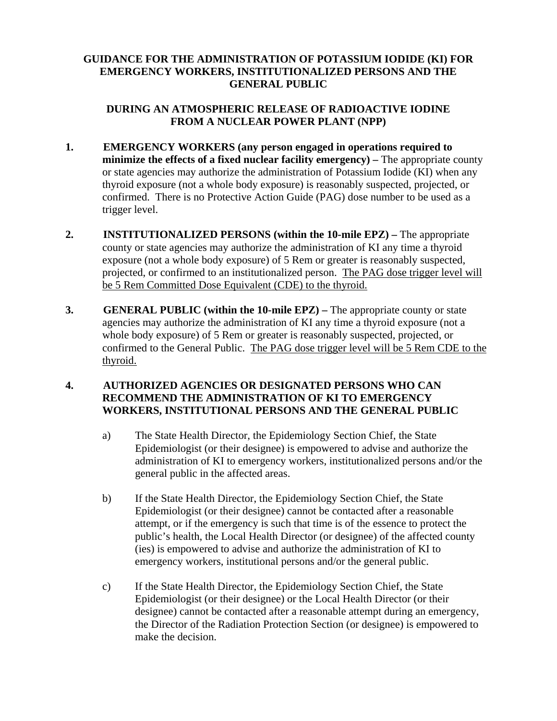## **GUIDANCE FOR THE ADMINISTRATION OF POTASSIUM IODIDE (KI) FOR EMERGENCY WORKERS, INSTITUTIONALIZED PERSONS AND THE GENERAL PUBLIC**

## **DURING AN ATMOSPHERIC RELEASE OF RADIOACTIVE IODINE FROM A NUCLEAR POWER PLANT (NPP)**

- **1. EMERGENCY WORKERS (any person engaged in operations required to minimize the effects of a fixed nuclear facility emergency)** – The appropriate county or state agencies may authorize the administration of Potassium Iodide (KI) when any thyroid exposure (not a whole body exposure) is reasonably suspected, projected, or confirmed. There is no Protective Action Guide (PAG) dose number to be used as a trigger level.
- **2. INSTITUTIONALIZED PERSONS (within the 10-mile EPZ)** The appropriate county or state agencies may authorize the administration of KI any time a thyroid exposure (not a whole body exposure) of 5 Rem or greater is reasonably suspected, projected, or confirmed to an institutionalized person. The PAG dose trigger level will be 5 Rem Committed Dose Equivalent (CDE) to the thyroid.
- **3. GENERAL PUBLIC** (within the 10-mile EPZ) The appropriate county or state agencies may authorize the administration of KI any time a thyroid exposure (not a whole body exposure) of 5 Rem or greater is reasonably suspected, projected, or confirmed to the General Public. The PAG dose trigger level will be 5 Rem CDE to the thyroid.

## **4. AUTHORIZED AGENCIES OR DESIGNATED PERSONS WHO CAN RECOMMEND THE ADMINISTRATION OF KI TO EMERGENCY WORKERS, INSTITUTIONAL PERSONS AND THE GENERAL PUBLIC**

- a) The State Health Director, the Epidemiology Section Chief, the State Epidemiologist (or their designee) is empowered to advise and authorize the administration of KI to emergency workers, institutionalized persons and/or the general public in the affected areas.
- b) If the State Health Director, the Epidemiology Section Chief, the State Epidemiologist (or their designee) cannot be contacted after a reasonable attempt, or if the emergency is such that time is of the essence to protect the public's health, the Local Health Director (or designee) of the affected county (ies) is empowered to advise and authorize the administration of KI to emergency workers, institutional persons and/or the general public.
- c) If the State Health Director, the Epidemiology Section Chief, the State Epidemiologist (or their designee) or the Local Health Director (or their designee) cannot be contacted after a reasonable attempt during an emergency, the Director of the Radiation Protection Section (or designee) is empowered to make the decision.